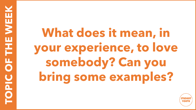**What does it mean, in your experience, to love somebody? Can you bring some examples?**